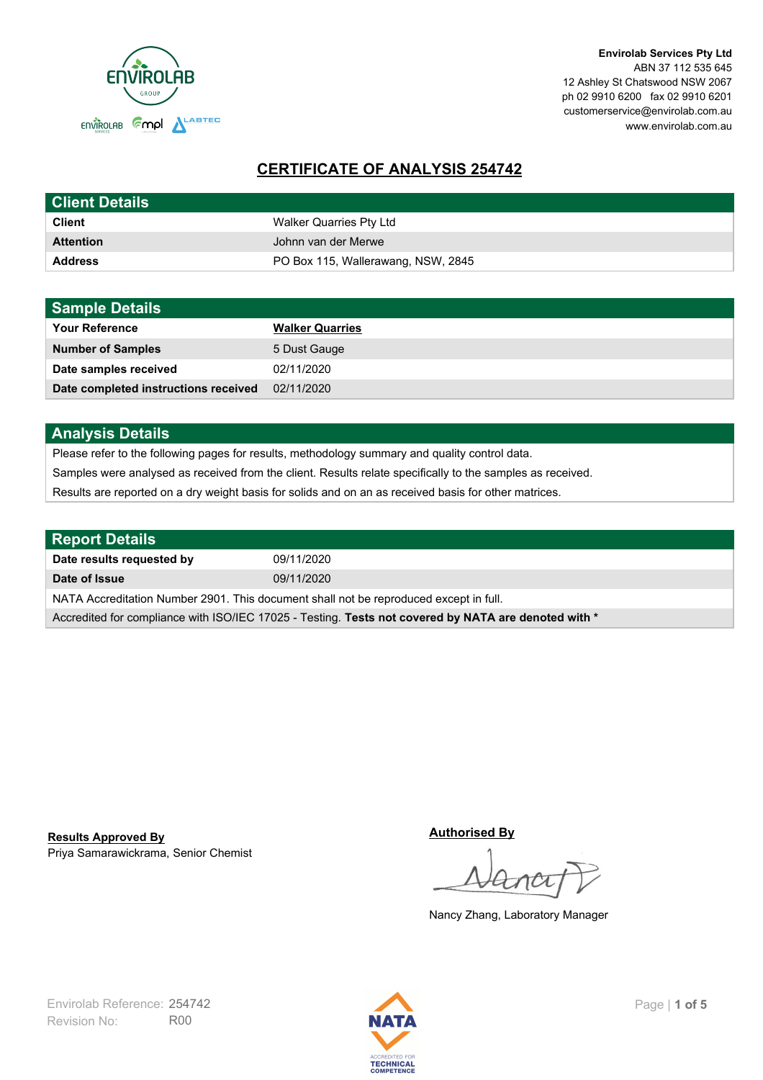

**Envirolab Services Pty Ltd** ABN 37 112 535 645 12 Ashley St Chatswood NSW 2067 ph 02 9910 6200 fax 02 9910 6201 customerservice@envirolab.com.au www.envirolab.com.au

# **CERTIFICATE OF ANALYSIS 254742**

| <b>Client Details</b> |                                    |
|-----------------------|------------------------------------|
| <b>Client</b>         | Walker Quarries Pty Ltd            |
| <b>Attention</b>      | Johnn van der Merwe                |
| <b>Address</b>        | PO Box 115, Wallerawang, NSW, 2845 |

| <b>Sample Details</b>                |                        |
|--------------------------------------|------------------------|
| <b>Your Reference</b>                | <b>Walker Quarries</b> |
| <b>Number of Samples</b>             | 5 Dust Gauge           |
| Date samples received                | 02/11/2020             |
| Date completed instructions received | 02/11/2020             |

### **Analysis Details**

Please refer to the following pages for results, methodology summary and quality control data.

Samples were analysed as received from the client. Results relate specifically to the samples as received.

Results are reported on a dry weight basis for solids and on an as received basis for other matrices.

| Report Details                                                                                       |            |  |
|------------------------------------------------------------------------------------------------------|------------|--|
| Date results requested by                                                                            | 09/11/2020 |  |
| Date of Issue                                                                                        | 09/11/2020 |  |
| NATA Accreditation Number 2901. This document shall not be reproduced except in full.                |            |  |
| Accredited for compliance with ISO/IEC 17025 - Testing. Tests not covered by NATA are denoted with * |            |  |

Priya Samarawickrama, Senior Chemist **Results Approved By**

**Authorised By**

Nancy Zhang, Laboratory Manager

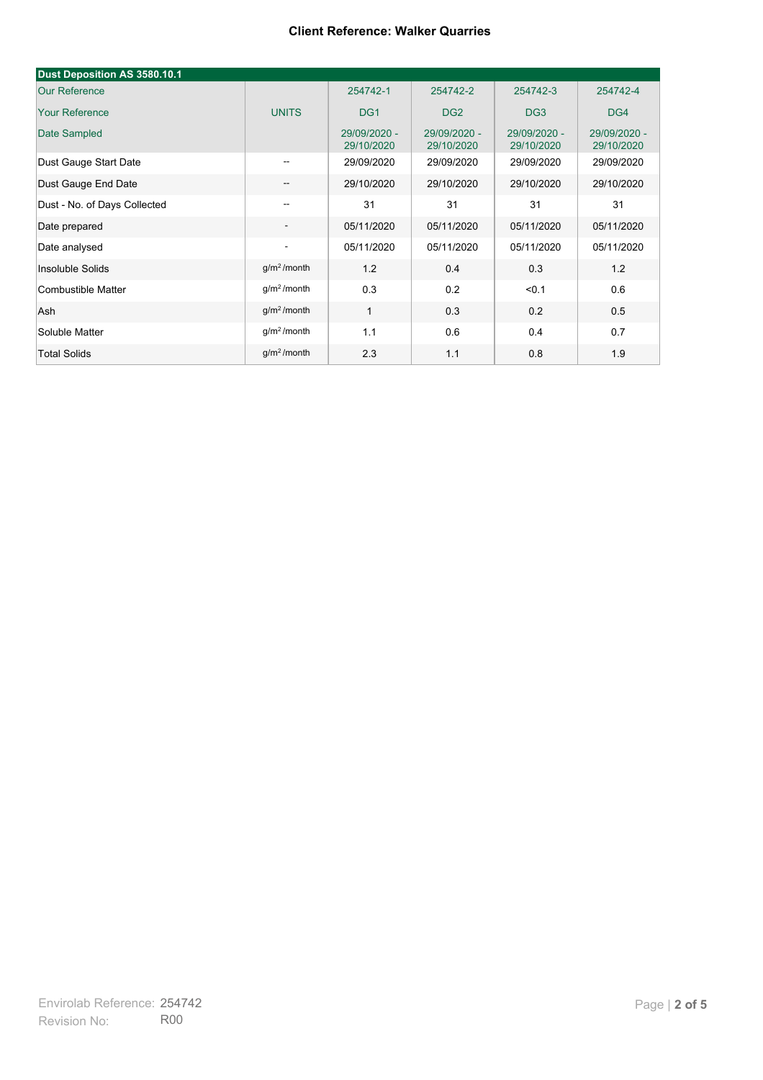| Dust Deposition AS 3580.10.1                    |                          |                            |                            |                            |                            |
|-------------------------------------------------|--------------------------|----------------------------|----------------------------|----------------------------|----------------------------|
| <b>Our Reference</b>                            |                          | 254742-1                   | 254742-2                   | 254742-3                   | 254742-4                   |
| <b>Your Reference</b>                           | <b>UNITS</b>             | DG <sub>1</sub>            | DG <sub>2</sub>            | DG <sub>3</sub>            | DG4                        |
| Date Sampled                                    |                          | 29/09/2020 -<br>29/10/2020 | 29/09/2020 -<br>29/10/2020 | 29/09/2020 -<br>29/10/2020 | 29/09/2020 -<br>29/10/2020 |
| Dust Gauge Start Date                           | $\overline{\phantom{a}}$ | 29/09/2020                 | 29/09/2020                 | 29/09/2020                 | 29/09/2020                 |
| Dust Gauge End Date<br>$\overline{\phantom{a}}$ |                          | 29/10/2020                 | 29/10/2020                 | 29/10/2020                 | 29/10/2020                 |
| Dust - No. of Days Collected                    | --                       | 31                         | 31                         | 31                         | 31                         |
| Date prepared                                   | $\overline{\phantom{a}}$ | 05/11/2020                 | 05/11/2020                 | 05/11/2020                 | 05/11/2020                 |
| Date analysed                                   | $\overline{\phantom{a}}$ | 05/11/2020                 | 05/11/2020                 | 05/11/2020                 | 05/11/2020                 |
| Insoluble Solids                                | g/m <sup>2</sup> /month  | 1.2                        | 0.4                        | 0.3                        | 1.2                        |
| Combustible Matter                              | $g/m2$ /month            | 0.3                        | 0.2                        | < 0.1                      | 0.6                        |
| Ash                                             | g/m <sup>2</sup> /month  | $\mathbf{1}$               | 0.3                        | 0.2                        | 0.5                        |
| Soluble Matter                                  | $g/m2$ /month            | 1.1                        | 0.6                        | 0.4                        | 0.7                        |
| <b>Total Solids</b>                             | $q/m^2$ /month           | 2.3                        | 1.1                        | 0.8                        | 1.9                        |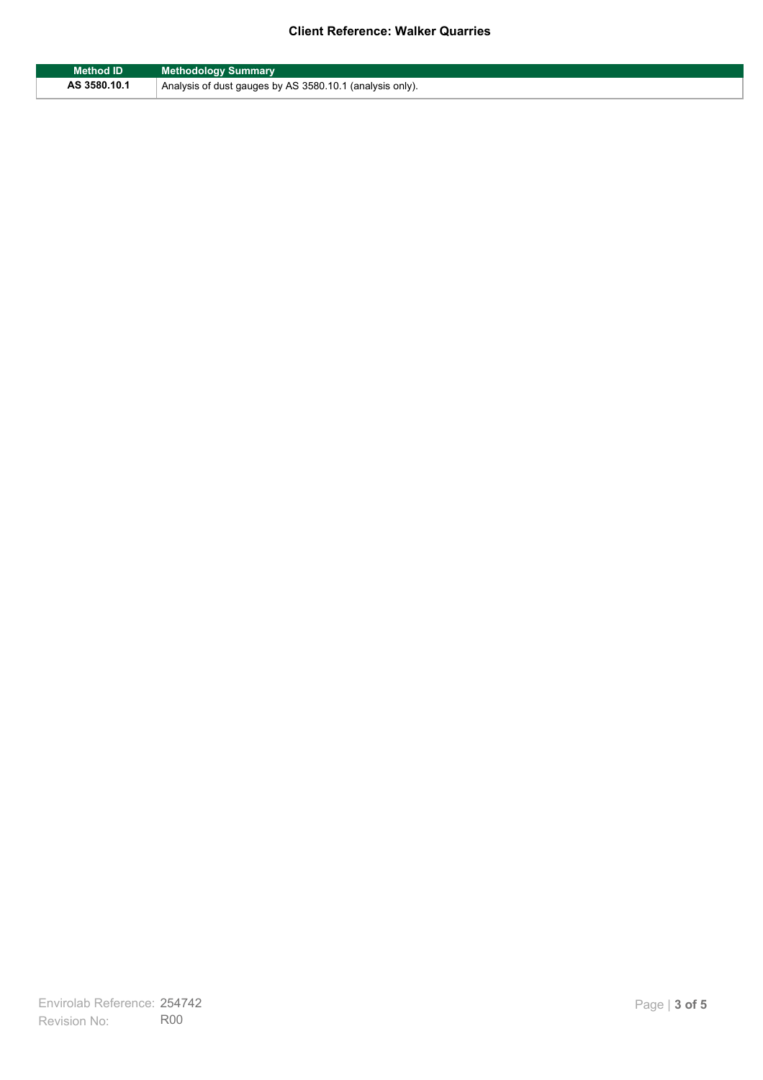| <b>Method ID</b> | <b>Methodology Summary</b>                               |
|------------------|----------------------------------------------------------|
| AS 3580.10.1     | Analysis of dust gauges by AS 3580.10.1 (analysis only). |

F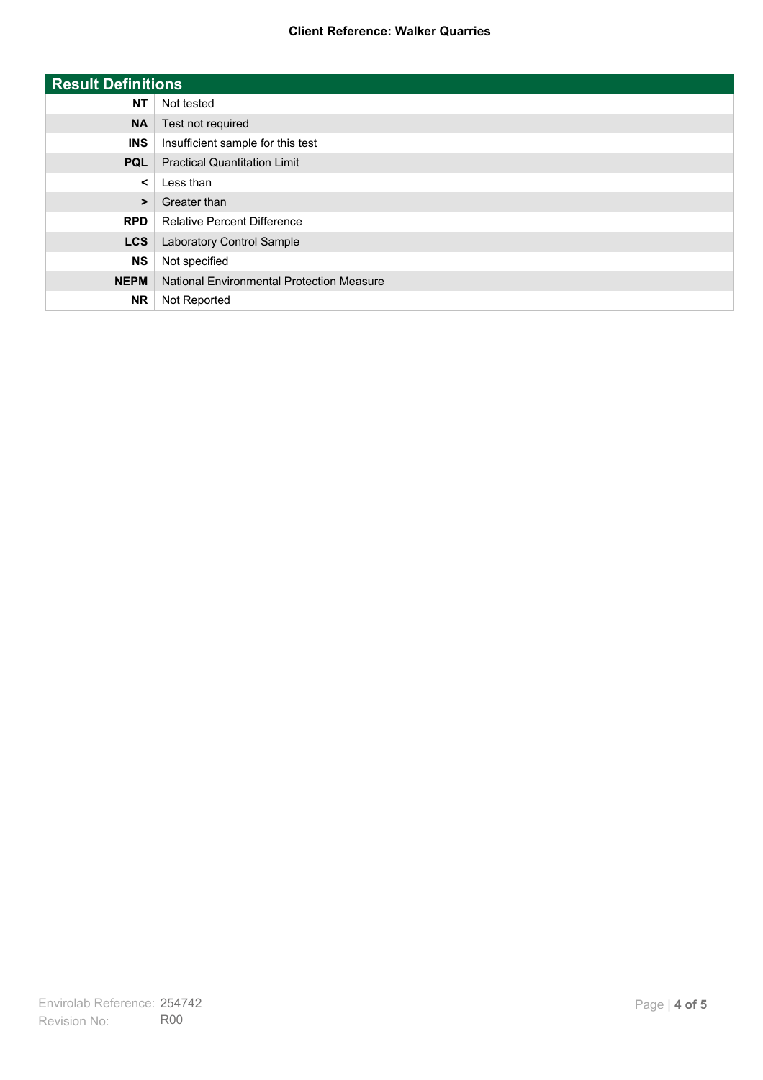| <b>Result Definitions</b> |                                           |
|---------------------------|-------------------------------------------|
| <b>NT</b>                 | Not tested                                |
| <b>NA</b>                 | Test not required                         |
| <b>INS</b>                | Insufficient sample for this test         |
| <b>PQL</b>                | <b>Practical Quantitation Limit</b>       |
| $\prec$                   | Less than                                 |
| $\geq$                    | Greater than                              |
| <b>RPD</b>                | <b>Relative Percent Difference</b>        |
| <b>LCS</b>                | Laboratory Control Sample                 |
| <b>NS</b>                 | Not specified                             |
| <b>NEPM</b>               | National Environmental Protection Measure |
| <b>NR</b>                 | Not Reported                              |